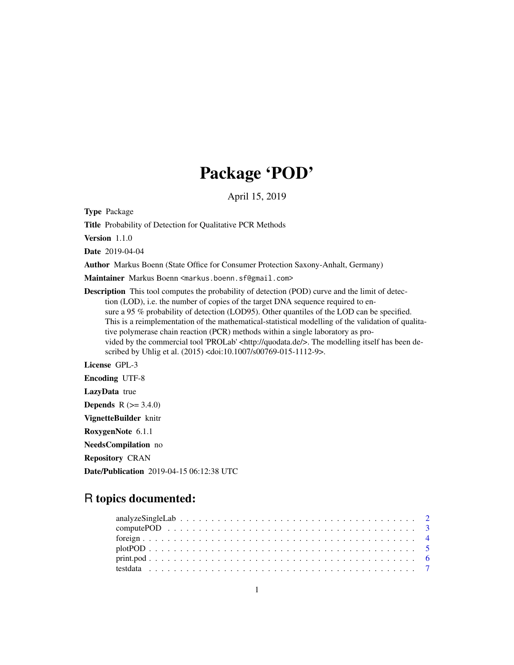## Package 'POD'

April 15, 2019

Type Package

Title Probability of Detection for Qualitative PCR Methods

Version 1.1.0

Date 2019-04-04

Author Markus Boenn (State Office for Consumer Protection Saxony-Anhalt, Germany)

Maintainer Markus Boenn <markus.boenn.sf@gmail.com>

Description This tool computes the probability of detection (POD) curve and the limit of detection (LOD), i.e. the number of copies of the target DNA sequence required to ensure a 95 % probability of detection (LOD95). Other quantiles of the LOD can be specified. This is a reimplementation of the mathematical-statistical modelling of the validation of qualitative polymerase chain reaction (PCR) methods within a single laboratory as provided by the commercial tool 'PROLab' <http://quodata.de/>. The modelling itself has been described by Uhlig et al. (2015) <doi:10.1007/s00769-015-1112-9>.

License GPL-3 Encoding UTF-8 LazyData true

**Depends**  $R (= 3.4.0)$ 

VignetteBuilder knitr

RoxygenNote 6.1.1

NeedsCompilation no

Repository CRAN

Date/Publication 2019-04-15 06:12:38 UTC

### R topics documented: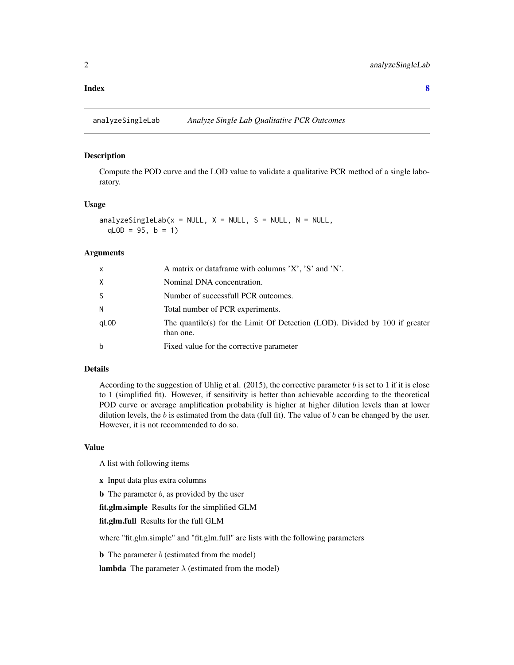#### <span id="page-1-0"></span>**Index** [8](#page-7-0) **8**

<span id="page-1-1"></span>analyzeSingleLab *Analyze Single Lab Qualitative PCR Outcomes*

#### Description

Compute the POD curve and the LOD value to validate a qualitative PCR method of a single laboratory.

#### Usage

```
analyzeSingleLab(x = NULL, X = NULL, S = NULL, N = NULL,
 qLOD = 95, b = 1)
```
#### Arguments

| x                | A matrix or dataframe with columns 'X', 'S' and 'N'.                                     |
|------------------|------------------------------------------------------------------------------------------|
| X                | Nominal DNA concentration.                                                               |
| S                | Number of successfull PCR outcomes.                                                      |
| N                | Total number of PCR experiments.                                                         |
| qL <sub>OD</sub> | The quantile(s) for the Limit Of Detection (LOD). Divided by 100 if greater<br>than one. |
| b                | Fixed value for the corrective parameter                                                 |

#### Details

According to the suggestion of Uhlig et al. (2015), the corrective parameter  $b$  is set to 1 if it is close to 1 (simplified fit). However, if sensitivity is better than achievable according to the theoretical POD curve or average amplification probability is higher at higher dilution levels than at lower dilution levels, the  $b$  is estimated from the data (full fit). The value of  $b$  can be changed by the user. However, it is not recommended to do so.

#### Value

A list with following items

- x Input data plus extra columns
- **b** The parameter  $b$ , as provided by the user

fit.glm.simple Results for the simplified GLM

fit.glm.full Results for the full GLM

where "fit.glm.simple" and "fit.glm.full" are lists with the following parameters

**b** The parameter  $b$  (estimated from the model)

**lambda** The parameter  $\lambda$  (estimated from the model)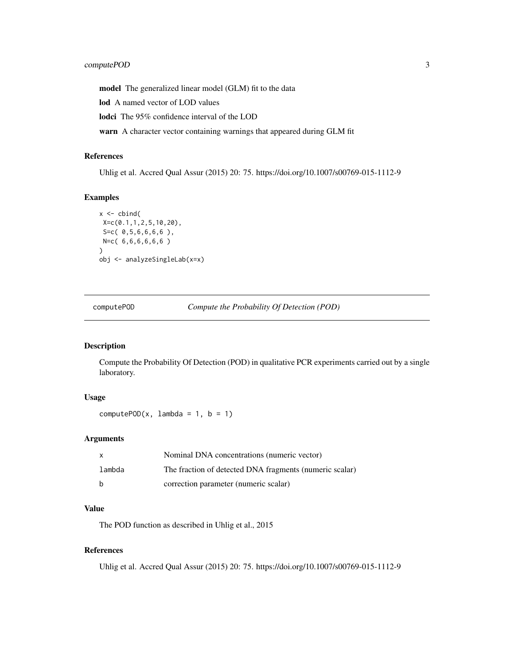<span id="page-2-0"></span>model The generalized linear model (GLM) fit to the data

lod A named vector of LOD values

lodci The 95% confidence interval of the LOD

warn A character vector containing warnings that appeared during GLM fit

#### References

Uhlig et al. Accred Qual Assur (2015) 20: 75. https://doi.org/10.1007/s00769-015-1112-9

#### Examples

```
x \leftarrow \text{cbind}X=c(0.1,1,2,5,10,20),
S=c( 0,5,6,6,6,6 ),
N=c( 6,6,6,6,6,6 )
\lambdaobj <- analyzeSingleLab(x=x)
```
computePOD *Compute the Probability Of Detection (POD)*

#### Description

Compute the Probability Of Detection (POD) in qualitative PCR experiments carried out by a single laboratory.

#### Usage

computePOD $(x, \text{lambda} = 1, \text{b} = 1)$ 

#### Arguments

| x      | Nominal DNA concentrations (numeric vector)             |
|--------|---------------------------------------------------------|
| lambda | The fraction of detected DNA fragments (numeric scalar) |
| b      | correction parameter (numeric scalar)                   |

#### Value

The POD function as described in Uhlig et al., 2015

#### References

Uhlig et al. Accred Qual Assur (2015) 20: 75. https://doi.org/10.1007/s00769-015-1112-9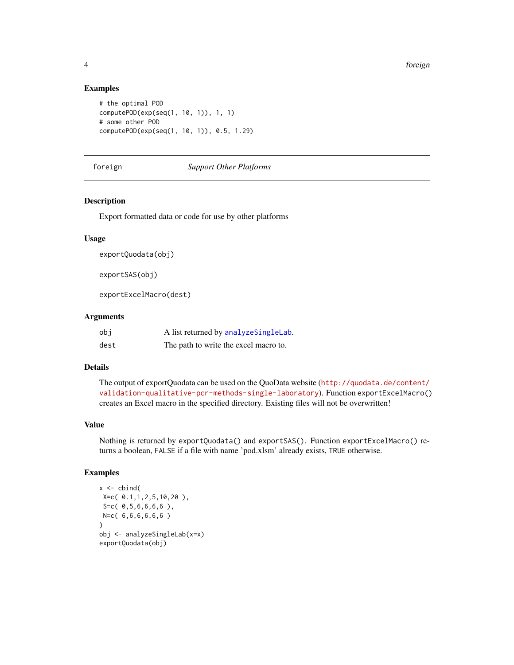#### Examples

```
# the optimal POD
computePOD(exp(seq(1, 10, 1)), 1, 1)
# some other POD
computePOD(exp(seq(1, 10, 1)), 0.5, 1.29)
```
#### foreign *Support Other Platforms*

#### Description

Export formatted data or code for use by other platforms

#### Usage

```
exportQuodata(obj)
```
exportSAS(obj)

exportExcelMacro(dest)

#### Arguments

| obi  | A list returned by analyze SingleLab. |
|------|---------------------------------------|
| dest | The path to write the excel macro to. |

#### Details

The output of exportQuodata can be used on the QuoData website ([http://quodata.de/content/](http://quodata.de/content/validation-qualitative-pcr-methods-single-laboratory) [validation-qualitative-pcr-methods-single-laboratory](http://quodata.de/content/validation-qualitative-pcr-methods-single-laboratory)). Function exportExcelMacro() creates an Excel macro in the specified directory. Existing files will not be overwritten!

#### Value

Nothing is returned by exportQuodata() and exportSAS(). Function exportExcelMacro() returns a boolean, FALSE if a file with name 'pod.xlsm' already exists, TRUE otherwise.

#### Examples

```
x \leftarrow \text{cbind}(X=c( 0.1,1,2,5,10,20 ),
 S=c( 0,5,6,6,6,6 ),
N=c( 6,6,6,6,6,6 )
\lambdaobj <- analyzeSingleLab(x=x)
exportQuodata(obj)
```
<span id="page-3-0"></span>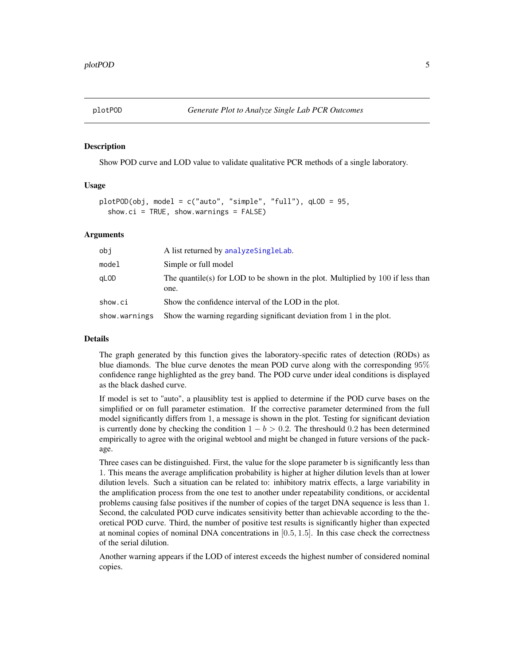<span id="page-4-0"></span>

#### Description

Show POD curve and LOD value to validate qualitative PCR methods of a single laboratory.

#### Usage

```
plotPOD(obj, model = c("auto", "simple", "full"), qLOD = 95,
  show.ci = TRUE, show.warnings = FALSE)
```
#### Arguments

| obi           | A list returned by analyze SingleLab.                                                     |
|---------------|-------------------------------------------------------------------------------------------|
| model         | Simple or full model                                                                      |
| aLOD          | The quantile(s) for LOD to be shown in the plot. Multiplied by $100$ if less than<br>one. |
| show.ci       | Show the confidence interval of the LOD in the plot.                                      |
| show.warnings | Show the warning regarding significant deviation from 1 in the plot.                      |

#### Details

The graph generated by this function gives the laboratory-specific rates of detection (RODs) as blue diamonds. The blue curve denotes the mean POD curve along with the corresponding 95% confidence range highlighted as the grey band. The POD curve under ideal conditions is displayed as the black dashed curve.

If model is set to "auto", a plausiblity test is applied to determine if the POD curve bases on the simplified or on full parameter estimation. If the corrective parameter determined from the full model significantly differs from 1, a message is shown in the plot. Testing for significant deviation is currently done by checking the condition  $1 - b > 0.2$ . The threshould 0.2 has been determined empirically to agree with the original webtool and might be changed in future versions of the package.

Three cases can be distinguished. First, the value for the slope parameter b is significantly less than 1. This means the average amplification probability is higher at higher dilution levels than at lower dilution levels. Such a situation can be related to: inhibitory matrix effects, a large variability in the amplification process from the one test to another under repeatability conditions, or accidental problems causing false positives if the number of copies of the target DNA sequence is less than 1. Second, the calculated POD curve indicates sensitivity better than achievable according to the theoretical POD curve. Third, the number of positive test results is significantly higher than expected at nominal copies of nominal DNA concentrations in  $[0.5, 1.5]$ . In this case check the correctness of the serial dilution.

Another warning appears if the LOD of interest exceeds the highest number of considered nominal copies.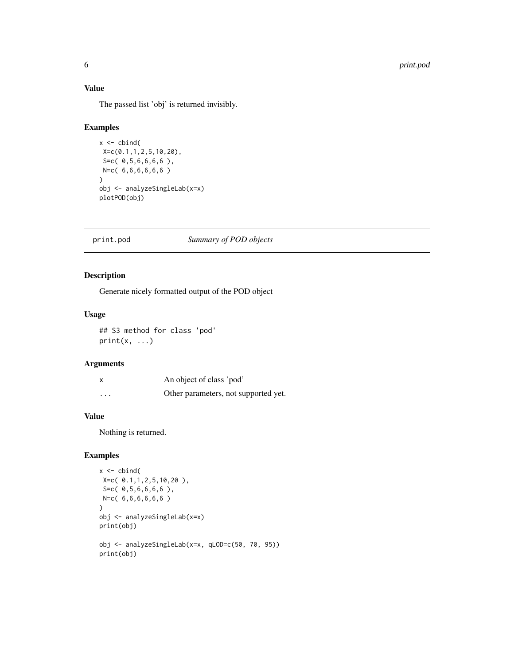#### <span id="page-5-0"></span>Value

The passed list 'obj' is returned invisibly.

#### Examples

```
x \leftarrow \text{cbind}(X=c(0.1,1,2,5,10,20),
S=c( 0,5,6,6,6,6 ),
N=c( 6,6,6,6,6,6 )
)
obj <- analyzeSingleLab(x=x)
plotPOD(obj)
```
#### print.pod *Summary of POD objects*

#### Description

Generate nicely formatted output of the POD object

#### Usage

## S3 method for class 'pod'  $print(x, \ldots)$ 

#### Arguments

|                         | An object of class 'pod'             |
|-------------------------|--------------------------------------|
| $\cdot$ $\cdot$ $\cdot$ | Other parameters, not supported yet. |

#### Value

Nothing is returned.

#### Examples

```
x \leftarrow \text{cbind}(X=c( 0.1,1,2,5,10,20 ),
 S=c( 0,5,6,6,6,6 ),
N=c( 6,6,6,6,6,6 )
\lambdaobj <- analyzeSingleLab(x=x)
print(obj)
obj <- analyzeSingleLab(x=x, qLOD=c(50, 70, 95))
print(obj)
```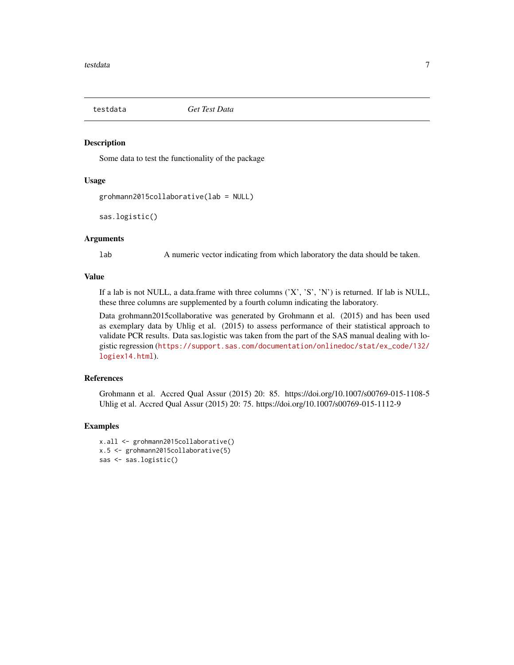<span id="page-6-0"></span>

#### Description

Some data to test the functionality of the package

#### Usage

```
grohmann2015collaborative(lab = NULL)
```

```
sas.logistic()
```
#### **Arguments**

lab A numeric vector indicating from which laboratory the data should be taken.

#### Value

If a lab is not NULL, a data.frame with three columns  $(X', 'S', 'N')$  is returned. If lab is NULL, these three columns are supplemented by a fourth column indicating the laboratory.

Data grohmann2015collaborative was generated by Grohmann et al. (2015) and has been used as exemplary data by Uhlig et al. (2015) to assess performance of their statistical approach to validate PCR results. Data sas.logistic was taken from the part of the SAS manual dealing with logistic regression ([https://support.sas.com/documentation/onlinedoc/stat/ex\\_code/132/](https://support.sas.com/documentation/onlinedoc/stat/ex_code/132/logiex14.html) [logiex14.html](https://support.sas.com/documentation/onlinedoc/stat/ex_code/132/logiex14.html)).

#### References

Grohmann et al. Accred Qual Assur (2015) 20: 85. https://doi.org/10.1007/s00769-015-1108-5 Uhlig et al. Accred Qual Assur (2015) 20: 75. https://doi.org/10.1007/s00769-015-1112-9

#### Examples

```
x.all <- grohmann2015collaborative()
x.5 <- grohmann2015collaborative(5)
sas <- sas.logistic()
```